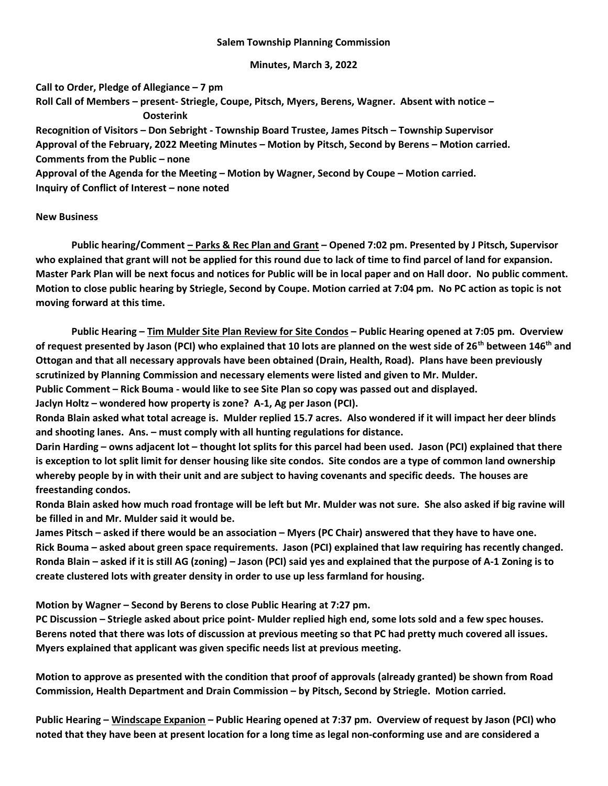## Salem Township Planning Commission

Minutes, March 3, 2022

Call to Order, Pledge of Allegiance – 7 pm Roll Call of Members – present- Striegle, Coupe, Pitsch, Myers, Berens, Wagner. Absent with notice – **Oosterink** Recognition of Visitors – Don Sebright - Township Board Trustee, James Pitsch – Township Supervisor Approval of the February, 2022 Meeting Minutes – Motion by Pitsch, Second by Berens – Motion carried.

Comments from the Public – none

Approval of the Agenda for the Meeting – Motion by Wagner, Second by Coupe – Motion carried. Inquiry of Conflict of Interest – none noted

New Business

 Public hearing/Comment – Parks & Rec Plan and Grant – Opened 7:02 pm. Presented by J Pitsch, Supervisor who explained that grant will not be applied for this round due to lack of time to find parcel of land for expansion. Master Park Plan will be next focus and notices for Public will be in local paper and on Hall door. No public comment. Motion to close public hearing by Striegle, Second by Coupe. Motion carried at 7:04 pm. No PC action as topic is not moving forward at this time.

 Public Hearing – Tim Mulder Site Plan Review for Site Condos – Public Hearing opened at 7:05 pm. Overview of request presented by Jason (PCI) who explained that 10 lots are planned on the west side of 26<sup>th</sup> between 146<sup>th</sup> and Ottogan and that all necessary approvals have been obtained (Drain, Health, Road). Plans have been previously scrutinized by Planning Commission and necessary elements were listed and given to Mr. Mulder.

Public Comment – Rick Bouma - would like to see Site Plan so copy was passed out and displayed.

Jaclyn Holtz – wondered how property is zone? A-1, Ag per Jason (PCI).

Ronda Blain asked what total acreage is. Mulder replied 15.7 acres. Also wondered if it will impact her deer blinds and shooting lanes. Ans. – must comply with all hunting regulations for distance.

Darin Harding – owns adjacent lot – thought lot splits for this parcel had been used. Jason (PCI) explained that there is exception to lot split limit for denser housing like site condos. Site condos are a type of common land ownership whereby people by in with their unit and are subject to having covenants and specific deeds. The houses are freestanding condos.

Ronda Blain asked how much road frontage will be left but Mr. Mulder was not sure. She also asked if big ravine will be filled in and Mr. Mulder said it would be.

James Pitsch – asked if there would be an association – Myers (PC Chair) answered that they have to have one. Rick Bouma – asked about green space requirements. Jason (PCI) explained that law requiring has recently changed. Ronda Blain – asked if it is still AG (zoning) – Jason (PCI) said yes and explained that the purpose of A-1 Zoning is to create clustered lots with greater density in order to use up less farmland for housing.

Motion by Wagner – Second by Berens to close Public Hearing at 7:27 pm.

PC Discussion – Striegle asked about price point- Mulder replied high end, some lots sold and a few spec houses. Berens noted that there was lots of discussion at previous meeting so that PC had pretty much covered all issues. Myers explained that applicant was given specific needs list at previous meeting.

Motion to approve as presented with the condition that proof of approvals (already granted) be shown from Road Commission, Health Department and Drain Commission – by Pitsch, Second by Striegle. Motion carried.

Public Hearing – Windscape Expanion – Public Hearing opened at 7:37 pm. Overview of request by Jason (PCI) who noted that they have been at present location for a long time as legal non-conforming use and are considered a